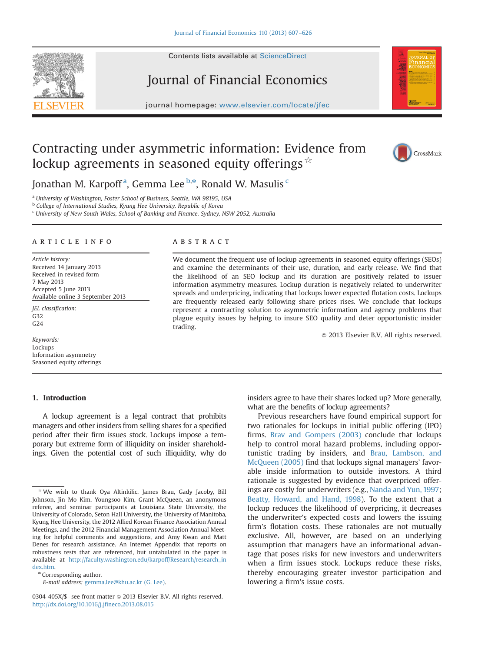# Journal of Financial Economics

journal homepage: <www.elsevier.com/locate/jfec>

## Contracting under asymmetric information: Evidence from lockup agreements in seasoned equity offerings  $\dot{\mathbf{x}}$



Jonathan M. Karpoff<sup>a</sup>, Gemma Lee <sup>b,\*</sup>, Ronald W. Masulis <sup>c</sup>

<sup>a</sup> University of Washington, Foster School of Business, Seattle, WA 98195, USA

**b** College of International Studies, Kyung Hee University, Republic of Korea

<sup>c</sup> University of New South Wales, School of Banking and Finance, Sydney, NSW 2052, Australia

### article info

Article history: Received 14 January 2013 Received in revised form 7 May 2013 Accepted 5 June 2013 Available online 3 September 2013

JEL classification: G32 G24

Keywords: Lockups Information asymmetry Seasoned equity offerings

#### 1. Introduction

A lockup agreement is a legal contract that prohibits managers and other insiders from selling shares for a specified period after their firm issues stock. Lockups impose a temporary but extreme form of illiquidity on insider shareholdings. Given the potential cost of such illiquidity, why do

\* Corresponding author.

E-mail address: [gemma.lee@khu.ac.kr \(G. Lee\).](mailto:gemma.lee@khu.ac.kr)

### **ABSTRACT**

We document the frequent use of lockup agreements in seasoned equity offerings (SEOs) and examine the determinants of their use, duration, and early release. We find that the likelihood of an SEO lockup and its duration are positively related to issuer information asymmetry measures. Lockup duration is negatively related to underwriter spreads and underpricing, indicating that lockups lower expected flotation costs. Lockups are frequently released early following share prices rises. We conclude that lockups represent a contracting solution to asymmetric information and agency problems that plague equity issues by helping to insure SEO quality and deter opportunistic insider trading.

 $\odot$  2013 Elsevier B.V. All rights reserved.

insiders agree to have their shares locked up? More generally, what are the benefits of lockup agreements?

Previous researchers have found empirical support for two rationales for lockups in initial public offering (IPO) firms. Brav and Gompers (2003) conclude that lockups help to control moral hazard problems, including opportunistic trading by insiders, and Brau, Lambson, and McQueen (2005) find that lockups signal managers' favorable inside information to outside investors. A third rationale is suggested by evidence that overpriced offerings are costly for underwriters (e.g., Nanda and Yun, 1997; Beatty, Howard, and Hand, 1998). To the extent that a lockup reduces the likelihood of overpricing, it decreases the underwriter's expected costs and lowers the issuing firm's flotation costs. These rationales are not mutually exclusive. All, however, are based on an underlying assumption that managers have an informational advantage that poses risks for new investors and underwriters when a firm issues stock. Lockups reduce these risks, thereby encouraging greater investor participation and lowering a firm's issue costs.



We wish to thank Oya Altinkilic, James Brau, Gady Jacoby, Bill Johnson, Jin Mo Kim, Youngsoo Kim, Grant McQueen, an anonymous referee, and seminar participants at Louisiana State University, the University of Colorado, Seton Hall University, the University of Manitoba, Kyung Hee University, the 2012 Allied Korean Finance Association Annual Meetings, and the 2012 Financial Management Association Annual Meeting for helpful comments and suggestions, and Amy Kwan and Matt Denes for research assistance. An Internet Appendix that reports on robustness tests that are referenced, but untabulated in the paper is available at [http://faculty.washington.edu/karpoff/Research/research\\_in](http://faculty.washington.edu/karpoff/Research/research_index.htm) [dex.htm.](http://faculty.washington.edu/karpoff/Research/research_index.htm)

<sup>0304-405</sup>X/\$ - see front matter  $\odot$  2013 Elsevier B.V. All rights reserved. <http://dx.doi.org/10.1016/j.jfineco.2013.08.015>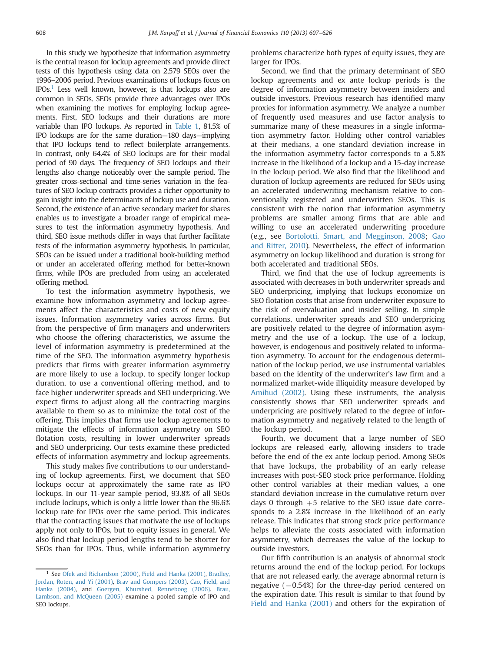In this study we hypothesize that information asymmetry is the central reason for lockup agreements and provide direct tests of this hypothesis using data on 2,579 SEOs over the 1996–2006 period. Previous examinations of lockups focus on  $IPOs<sup>1</sup>$  Less well known, however, is that lockups also are common in SEOs. SEOs provide three advantages over IPOs when examining the motives for employing lockup agreements. First, SEO lockups and their durations are more variable than IPO lockups. As reported in Table 1, 81.5% of IPO lockups are for the same duration—180 days—implying that IPO lockups tend to reflect boilerplate arrangements. In contrast, only 64.4% of SEO lockups are for their modal period of 90 days. The frequency of SEO lockups and their lengths also change noticeably over the sample period. The greater cross-sectional and time-series variation in the features of SEO lockup contracts provides a richer opportunity to gain insight into the determinants of lockup use and duration. Second, the existence of an active secondary market for shares enables us to investigate a broader range of empirical measures to test the information asymmetry hypothesis. And third, SEO issue methods differ in ways that further facilitate tests of the information asymmetry hypothesis. In particular, SEOs can be issued under a traditional book-building method or under an accelerated offering method for better-known firms, while IPOs are precluded from using an accelerated offering method.

To test the information asymmetry hypothesis, we examine how information asymmetry and lockup agreements affect the characteristics and costs of new equity issues. Information asymmetry varies across firms. But from the perspective of firm managers and underwriters who choose the offering characteristics, we assume the level of information asymmetry is predetermined at the time of the SEO. The information asymmetry hypothesis predicts that firms with greater information asymmetry are more likely to use a lockup, to specify longer lockup duration, to use a conventional offering method, and to face higher underwriter spreads and SEO underpricing. We expect firms to adjust along all the contracting margins available to them so as to minimize the total cost of the offering. This implies that firms use lockup agreements to mitigate the effects of information asymmetry on SEO flotation costs, resulting in lower underwriter spreads and SEO underpricing. Our tests examine these predicted effects of information asymmetry and lockup agreements.

This study makes five contributions to our understanding of lockup agreements. First, we document that SEO lockups occur at approximately the same rate as IPO lockups. In our 11-year sample period, 93.8% of all SEOs include lockups, which is only a little lower than the 96.6% lockup rate for IPOs over the same period. This indicates that the contracting issues that motivate the use of lockups apply not only to IPOs, but to equity issues in general. We also find that lockup period lengths tend to be shorter for SEOs than for IPOs. Thus, while information asymmetry problems characterize both types of equity issues, they are larger for IPOs.

Second, we find that the primary determinant of SEO lockup agreements and ex ante lockup periods is the degree of information asymmetry between insiders and outside investors. Previous research has identified many proxies for information asymmetry. We analyze a number of frequently used measures and use factor analysis to summarize many of these measures in a single information asymmetry factor. Holding other control variables at their medians, a one standard deviation increase in the information asymmetry factor corresponds to a 5.8% increase in the likelihood of a lockup and a 15-day increase in the lockup period. We also find that the likelihood and duration of lockup agreements are reduced for SEOs using an accelerated underwriting mechanism relative to conventionally registered and underwritten SEOs. This is consistent with the notion that information asymmetry problems are smaller among firms that are able and willing to use an accelerated underwriting procedure (e.g., see Bortolotti, Smart, and Megginson, 2008; Gao and Ritter, 2010). Nevertheless, the effect of information asymmetry on lockup likelihood and duration is strong for both accelerated and traditional SEOs.

Third, we find that the use of lockup agreements is associated with decreases in both underwriter spreads and SEO underpricing, implying that lockups economize on SEO flotation costs that arise from underwriter exposure to the risk of overvaluation and insider selling. In simple correlations, underwriter spreads and SEO underpricing are positively related to the degree of information asymmetry and the use of a lockup. The use of a lockup, however, is endogenous and positively related to information asymmetry. To account for the endogenous determination of the lockup period, we use instrumental variables based on the identity of the underwriter's law firm and a normalized market-wide illiquidity measure developed by Amihud (2002). Using these instruments, the analysis consistently shows that SEO underwriter spreads and underpricing are positively related to the degree of information asymmetry and negatively related to the length of the lockup period.

Fourth, we document that a large number of SEO lockups are released early, allowing insiders to trade before the end of the ex ante lockup period. Among SEOs that have lockups, the probability of an early release increases with post-SEO stock price performance. Holding other control variables at their median values, a one standard deviation increase in the cumulative return over days 0 through  $+5$  relative to the SEO issue date corresponds to a 2.8% increase in the likelihood of an early release. This indicates that strong stock price performance helps to alleviate the costs associated with information asymmetry, which decreases the value of the lockup to outside investors.

Our fifth contribution is an analysis of abnormal stock returns around the end of the lockup period. For lockups that are not released early, the average abnormal return is negative  $(-0.54%)$  for the three-day period centered on the expiration date. This result is similar to that found by Field and Hanka (2001) and others for the expiration of

<sup>&</sup>lt;sup>1</sup> See Ofek and Richardson (2000), Field and Hanka (2001), Bradley, Jordan, Roten, and Yi (2001), Brav and Gompers (2003), Cao, Field, and Hanka (2004), and Goergen, Khurshed, Renneboog (2006). Brau, Lambson, and McQueen (2005) examine a pooled sample of IPO and SEO lockups.